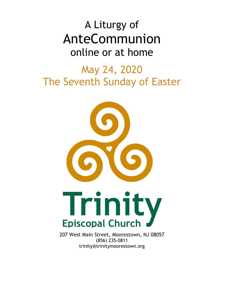# A Liturgy of AnteCommunion online or at home

## May 24, 2020 The Seventh Sunday of Easter



207 West Main Street, Moorestown, NJ 08057 (856) 235-0811 trinity@trinitymoorestown.org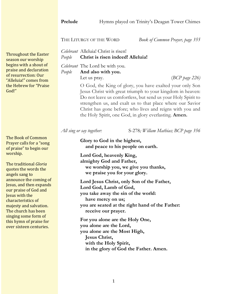**Prelude** Hymns played on Trinity's Deagan Tower Chimes

THE LITURGY OF THE WORD *Book of Common Prayer, page 355*

Throughout the Easter

season our worship begins with a shout of praise and declaration of resurrection: Our "Alleluia!" comes from the Hebrew for "Praise God!"

The Book of Common Prayer calls for a "song" of praise" to begin our worship.

The traditional *Glorig* quotes the words the angels sang to announce the coming of Jesus, and then expands our praise of God and **Jesus** with the characteristics of majesty and salvation. The church has been singing some form of this hymn of praise for over sixteen centuries.

*Celebrant* Alleluia! Christ is risen! *People* **Christ is risen indeed! Alleluia!**

*Celebrant* The Lord be with you. *People* **And also with you.** Let us pray. (*BCP page 226)*

O God, the King of glory, you have exalted your only Son Jesus Christ with great triumph to your kingdom in heaven: Do not leave us comfortless, but send us your Holy Spirit to strengthen us, and exalt us to that place where our Savior Christ has gone before; who lives and reigns with you and the Holy Spirit, one God, in glory everlasting. **Amen.**

*All sing or say together:* S-278*; Willam Mathias; BCP page 356*

**Glory to God in the highest, and peace to his people on earth.**

**Lord God, heavenly King, almighty God and Father, we worship you, we give you thanks, we praise you for your glory.**

**Lord Jesus Christ, only Son of the Father, Lord God, Lamb of God, you take away the sin of the world: have mercy on us; you are seated at the right hand of the Father: receive our prayer.**

**For you alone are the Holy One, you alone are the Lord, you alone are the Most High, Jesus Christ, with the Holy Spirit, in the glory of God the Father. Amen.**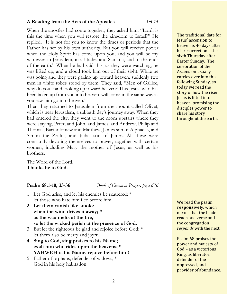### **A Reading from the Acts of the Apostles** *1:6-14*

When the apostles had come together, they asked him, "Lord, is this the time when you will restore the kingdom to Israel?" He replied, "It is not for you to know the times or periods that the Father has set by his own authority. But you will receive power when the Holy Spirit has come upon you; and you will be my witnesses in Jerusalem, in all Judea and Samaria, and to the ends of the earth." When he had said this, as they were watching, he was lifted up, and a cloud took him out of their sight. While he was going and they were gazing up toward heaven, suddenly two men in white robes stood by them. They said, "Men of Galilee, why do you stand looking up toward heaven? This Jesus, who has been taken up from you into heaven, will come in the same way as you saw him go into heaven."

Then they returned to Jerusalem from the mount called Olivet, which is near Jerusalem, a sabbath day's journey away. When they had entered the city, they went to the room upstairs where they were staying, Peter, and John, and James, and Andrew, Philip and Thomas, Bartholomew and Matthew, James son of Alphaeus, and Simon the Zealot, and Judas son of James. All these were constantly devoting themselves to prayer, together with certain women, including Mary the mother of Jesus, as well as his brothers.

The Word of the Lord. **Thanks be to God.**

**Psalm 68:1-10, 33-36** *Book of Common Prayer, page 676*

- 1 Let God arise, and let his enemies be scattered; \* let those who hate him flee before him.
- **2 Let them vanish like smoke when the wind drives it away; \* as the wax melts at the fire, so let the wicked perish at the presence of God.**
- 3 But let the righteous be glad and rejoice before God; \* let them also be merry and joyful.
- **4 Sing to God, sing praises to his Name; exalt him who rides upon the heavens; \* YAHWEH is his Name, rejoice before him!**
- 5 Father of orphans, defender of widows, \* God in his holy habitation!

The traditional date for Jesus' ascension to heaven is 40 days after his resurrection  $-$  the sixth Thursday after Easter Sunday. The celebration of the **Ascension usually** carries over into this following Sunday, so today we read the story of how the risen Jesus is lifted into heaven, promising the disciples power to share his story throughout the earth.

We read the psalm **responsively**, which means that the leader reads one verse and the congregation *responds* with the next.

Psalm 68 praises the power and majesty of God - as a victorious King, as liberator, defender of the oppressed, and provider of abundance.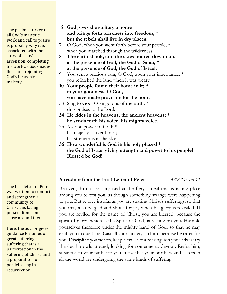The psalm's survey of all God's majestic work and call to praise is probably why it is associated with the story of Jesus' ascension, completing his work as God-madeflesh and rejoining God's heavenly majesty.

The first letter of Peter was written to comfort and strengthen a community of Christians facing persecution from those around them.

Here, the author gives guidance for times of great suffering suffering that is a participation in the suffering of Christ, and a preparation for participating in resurrection. 

- **6 God gives the solitary a home and brings forth prisoners into freedom; \* but the rebels shall live in dry places.**
- 7 O God, when you went forth before your people, \* when you marched through the wilderness,
- **8 The earth shook, and the skies poured down rain, at the presence of God, the God of Sinai, \* at the presence of God, the God of Israel.**
- 9 You sent a gracious rain, O God, upon your inheritance; \* you refreshed the land when it was weary.
- **10 Your people found their home in it; \* in your goodness, O God, you have made provision for the poor.**
- 33 Sing to God, O kingdoms of the earth; \* sing praises to the Lord.
- **34 He rides in the heavens, the ancient heavens; \* he sends forth his voice, his mighty voice.**
- 35 Ascribe power to God; \* his majesty is over Israel; his strength is in the skies.
- **36 How wonderful is God in his holy places! \* the God of Israel giving strength and power to his people! Blessed be God!**

### **A reading from the First Letter of Peter** *4:12-14; 5:6-11*

Beloved, do not be surprised at the fiery ordeal that is taking place among you to test you, as though something strange were happening to you. But rejoice insofar as you are sharing Christ's sufferings, so that you may also be glad and shout for joy when his glory is revealed. If you are reviled for the name of Christ, you are blessed, because the spirit of glory, which is the Spirit of God, is resting on you. Humble yourselves therefore under the mighty hand of God, so that he may exalt you in due time. Cast all your anxiety on him, because he cares for you. Discipline yourselves, keep alert. Like a roaring lion your adversary the devil prowls around, looking for someone to devour. Resist him, steadfast in your faith, for you know that your brothers and sisters in all the world are undergoing the same kinds of suffering.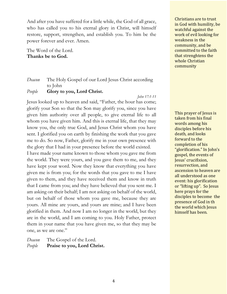And after you have suffered for a little while, the God of all grace, who has called you to his eternal glory in Christ, will himself restore, support, strengthen, and establish you. To him be the power forever and ever. Amen.

The Word of the Lord. **Thanks be to God.**

### *Deacon* The Holy Gospel of our Lord Jesus Christ according to John *People* **Glory to you, Lord Christ.**

*John 17:1-11*

Jesus looked up to heaven and said, "Father, the hour has come; glorify your Son so that the Son may glorify you, since you have given him authority over all people, to give eternal life to all whom you have given him. And this is eternal life, that they may know you, the only true God, and Jesus Christ whom you have sent. I glorified you on earth by finishing the work that you gave me to do. So now, Father, glorify me in your own presence with the glory that I had in your presence before the world existed.

I have made your name known to those whom you gave me from the world. They were yours, and you gave them to me, and they have kept your word. Now they know that everything you have given me is from you; for the words that you gave to me I have given to them, and they have received them and know in truth that I came from you; and they have believed that you sent me. I am asking on their behalf; I am not asking on behalf of the world, but on behalf of those whom you gave me, because they are yours. All mine are yours, and yours are mine; and I have been glorified in them. And now I am no longer in the world, but they are in the world, and I am coming to you. Holy Father, protect them in your name that you have given me, so that they may be one, as we are one."

*Deacon* The Gospel of the Lord. *People* **Praise to you, Lord Christ.** Christians are to trust in God with humility, be watchful against the work of evil looking for weakness in the community, and be committed to the faith that strenghtens the whole Christian community

This prayer of Jesus is taken from his final words among his disciples before his death, and looks forward to the completion of his "glorification." In John's gospel, the events of Jesus' crucifixion, resurrection, and ascension to heaven are all understood as one event: his glorification or "lifting up". So Jesus here prays for the disciples to become the presence of God in th the world which Jesus himself has been.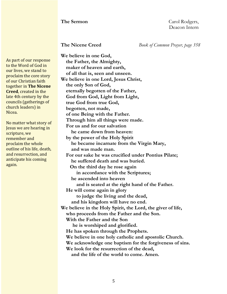**The Sermon** Carol Rodgers, Deacon Intern

**The Nicene Creed** *Book of Common Prayer, page 358*

**We believe in one God, the Father, the Almighty, maker of heaven and earth, of all that is, seen and unseen. We believe in one Lord, Jesus Christ, the only Son of God, eternally begotten of the Father, God from God, Light from Light, true God from true God, begotten, not made, of one Being with the Father. Through him all things were made. For us and for our salvation he came down from heaven: by the power of the Holy Spirit he became incarnate from the Virgin Mary, and was made man. For our sake he was crucified under Pontius Pilate; he suffered death and was buried. On the third day he rose again in accordance with the Scriptures; he ascended into heaven and is seated at the right hand of the Father. He will come again in glory to judge the living and the dead, and his kingdom will have no end. We believe in the Holy Spirit, the Lord, the giver of life, who proceeds from the Father and the Son. With the Father and the Son he is worshiped and glorified. He has spoken through the Prophets. We believe in one holy catholic and apostolic Church. We acknowledge one baptism for the forgiveness of sins. We look for the resurrection of the dead, and the life of the world to come. Amen.**

As part of our response to the Word of God in our lives, we stand to proclaim the core story of our Christian faith **together in The Nicene Creed**, created in the late 4th century by the councils (gatherings of church leaders) in Nicea. 

No matter what story of Jesus we are hearing in scripture, we remember and proclaim the whole outline of his life, death, and resurrection, and anticipate his coming again.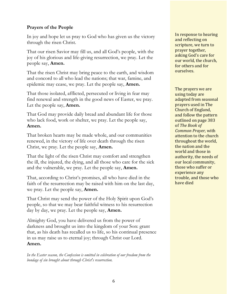### **Prayers of the People**

In joy and hope let us pray to God who has given us the victory through the risen Christ.

That our risen Savior may fill us, and all God's people, with the joy of his glorious and life-giving resurrection, we pray. Let the people say, **Amen.**

That the risen Christ may bring peace to the earth, and wisdom and concord to all who lead the nations; that war, famine, and epidemic may cease, we pray. Let the people say, **Amen.**

That those isolated, afflicted, persecuted or living in fear may find renewal and strength in the good news of Easter, we pray. Let the people say, **Amen.**

That God may provide daily bread and abundant life for those who lack food, work or shelter, we pray. Let the people say, **Amen.**

That broken hearts may be made whole, and our communities renewed, in the victory of life over death through the risen Christ, we pray. Let the people say, **Amen.**

That the light of the risen Christ may comfort and strengthen the ill, the injured, the dying, and all those who care for the sick and the vulnerable, we pray. Let the people say, **Amen.**

That, according to Christ's promises, all who have died in the faith of the resurrection may be raised with him on the last day, we pray. Let the people say, **Amen.**

That Christ may send the power of the Holy Spirit upon God's people, so that we may bear faithful witness to his resurrection day by day, we pray. Let the people say, **Amen.**

Almighty God, you have delivered us from the power of darkness and brought us into the kingdom of your Son: grant that, as his death has recalled us to life, so his continual presence in us may raise us to eternal joy; through Christ our Lord. **Amen.**

*In the Easter season, the Confession is omitted in celebration of our freedom from the bondage of sin brought about through Christ's resurrection.*

In response to hearing and reflecting on scripture, we turn to prayer together, asking God's care for our world, the church, for others and for ourselves. 

The prayers we are using today are adapted from seasonal prayers used in The Church of England, and follow the pattern outlined on page 383 of *The Book of Common Prayer,* with attention to the church throughout the world, the nation and the world and those in authority, the needs of our local community, those who suffer or experience any trouble, and those who have died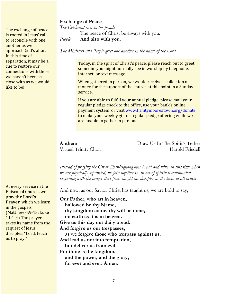### **Exchange of Peace**

*The Celebrant says to the people* The peace of Christ be always with you. *People* **And also with you.**

*The Ministers and People greet one another in the name of the Lord.*

Today, in the spirit of Christ's peace, please reach out to greet someone you might normally see in worship by telephone, internet, or text message.

When gathered in person, we would receive a collection of money for the support of the church at this point in a Sunday service.

If you are able to fulfill your annual pledge, please mail your regular pledge check to the office, use your bank's online payment system, or visit www.trinitymoorestown.org/donate to make your weekly gift or regular pledge offering while we are unable to gather in person.

**Anthem** Draw Us In The Spirit's Tether Virtual Trinity Choir Harold Friedell

*Instead of praying the Great Thanksgiving over bread and wine, in this time when we are physically separated, we join together in an act of spiritual communion, beginning with the prayer that Jesus taught his disciples as the basis of all prayer.*

And now, as our Savior Christ has taught us, we are bold to say,

**Our Father, who art in heaven, hallowed be thy Name, thy kingdom come, thy will be done, on earth as it is in heaven. Give us this day our daily bread. And forgive us our trespasses, as we forgive those who trespass against us. And lead us not into temptation, but deliver us from evil. For thine is the kingdom, and the power, and the glory,**

 **for ever and ever. Amen.**

The exchange of peace is rooted in Jesus' call to reconcile with one another as we approach God's altar. In this time of separation, it may be a cue to restore our connections with those we haven't been as close with as we would like to be!

At every service in the Episcopal Church, we pray the Lord's **Prayer**, which we learn in the gospels (Matthew 6:9-13, Luke  $11:1-4$ ) The prayer takes its name from the request of Jesus' disciples, "Lord, teach us to pray."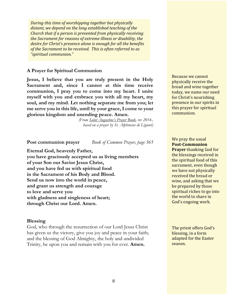*During this time of worshipping together but physically distant, we depend on the long established teaching of the Church that if a person is prevented from physically receiving the Sacrament for reasons of extreme illness or disability, the desire for Christ's presence alone is enough for all the benefits* of the Sacrament to be received. This is often referred to as *"spiritual communion."*

### **A Prayer for Spiritual Communion**

**Jesus, I believe that you are truly present in the Holy Sacrament and, since I cannot at this time receive communion, I pray you to come into my heart. I unite myself with you and embrace you with all my heart, my soul, and my mind. Let nothing separate me from you; let me serve you in this life, until by your grace, I come to your glorious kingdom and unending peace. Amen.**

> *(From Saint Augustine's Prayer Book, rev 2014., based on a prayer by St. Alphonsus de Liguori)*

**Post communion prayer** *Book of Common Prayer, page 365*

**Eternal God, heavenly Father, you have graciously accepted us as living members of your Son our Savior Jesus Christ, and you have fed us with spiritual food in the Sacrament of his Body and Blood. Send us now into the world in peace, and grant us strength and courage to love and serve you with gladness and singleness of heart; through Christ our Lord. Amen.**

### **Blessing**

God, who through the resurrection of our Lord Jesus Christ has given us the victory, give you joy and peace in your faith; and the blessing of God Almighty, the holy and undivided Trinity, be upon you and remain with you for ever. **Amen.**

Because we cannot physically receive the bread and wine together today, we name our need for Christ's nourishing presence in our spirits in this prayer for spiritual communion.

We pray the usual **Post-Communion Prayer** thanking God for the blessings received in the spiritual food of this sacrament, even though we have not physically received the bread or wine, and asking that we be prepared by those spiritual riches to go into the world to share in God's ongoing work.

The priest offers God's blessing, in a form adapted for the Easter season.